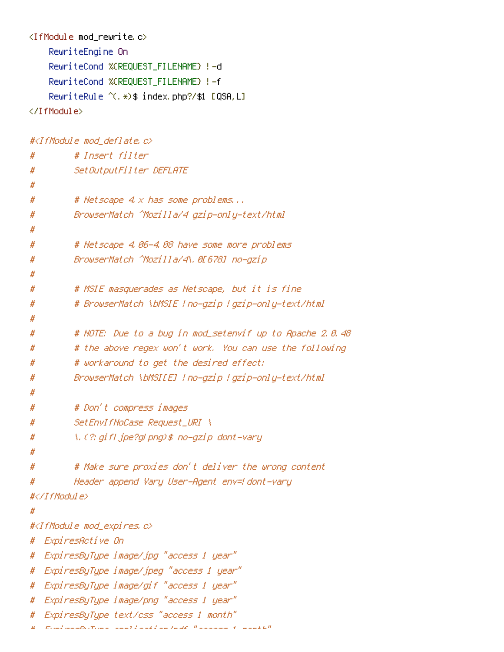```
<IfModule mod_rewrite.c>
    RewriteEngine On
    RewriteCond %{REQUEST_FILENAME} !-d
    RewriteCond %{REQUEST_FILENAME} !-f
    RewriteRule ^(.*)$ index.php?/$1 [QSA,L]
```
</IfModule>

#<IfModule mod\_deflate.c>

```
# # Insert filter
# SetOutputFilter DEFLATE
#
# # Netscape 4.x has some problems...
# BrowserMatch ^Mozilla/4 gzip-only-text/html
#
# # Netscape 4.06-4.08 have some more problems
# BrowserMatch ^Mozilla/4\.0[678] no-gzip
#
# # MSIE masquerades as Netscape, but it is fine
# # BrowserMatch \bMSIE !no-gzip !gzip-only-text/html
#
# # NOTE: Due to a bug in mod_setenvif up to Apache 2.0.48
# # the above regex won't work. You can use the following
# # workaround to get the desired effect:
# BrowserMatch \bMSI[E] !no-gzip !gzip-only-text/html
#
# # Don't compress images
# SetEnvIfNoCase Request_URI \
# \.(?:gif|jpe?g|png)$ no-gzip dont-vary
#
# # Make sure proxies don't deliver the wrong content
# Header append Vary User-Agent env=!dont-vary
#</IfModule>
#
#<IfModule mod_expires.c>
# ExpiresActive On
# ExpiresByType image/jpg "access 1 year"
```

```
# ExpiresByType image/jpeg "access 1 year"
```

```
# ExpiresByType image/gif "access 1 year"
```

```
# ExpiresByType image/png "access 1 year"
```

```
# ExpiresByType text/css "access 1 month"
```

```
E and probability application I and I and I and I access I and I and I and I and I and I and I and I and I and I and I and I and I and I and I and I and I and I and I and I
```